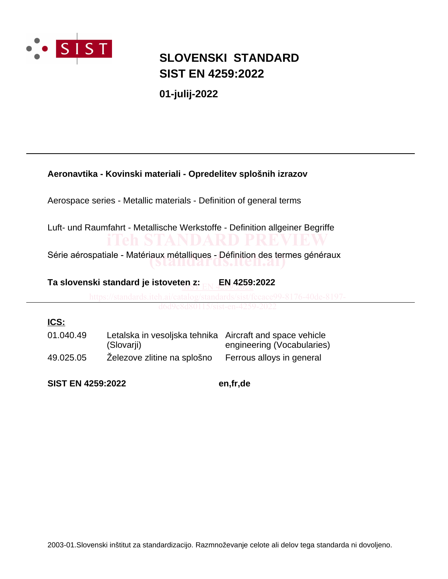

# **SLOVENSKI STANDARD SIST EN 4259:2022**

**01-julij-2022**

### **Aeronavtika - Kovinski materiali - Opredelitev splošnih izrazov**

Aerospace series - Metallic materials - Definition of general terms

Luft- und Raumfahrt - Metallische Werkstoffe - Definition allgeiner Begriffe

# Ta slovenski standard je istoveten z: <sub>EN -</sub>EN 4259:2022

### **ICS:**

|                                                                                                                                      | iTeh STANDARD PREV                                                     |                                                                                                             |  |
|--------------------------------------------------------------------------------------------------------------------------------------|------------------------------------------------------------------------|-------------------------------------------------------------------------------------------------------------|--|
| Série aérospatiale - Matériaux métalliques - Définition des termes généraux<br>Ta slovenski standard je istoveten z:<br>EN 4259:2022 |                                                                        |                                                                                                             |  |
|                                                                                                                                      |                                                                        |                                                                                                             |  |
|                                                                                                                                      |                                                                        |                                                                                                             |  |
| <u>ICS:</u>                                                                                                                          |                                                                        |                                                                                                             |  |
| 01.040.49                                                                                                                            | Letalska in vesoljska tehnika Aircraft and space vehicle<br>(Slovarji) | engineering (Vocabularies)                                                                                  |  |
| 49.025.05                                                                                                                            | Železove zlitine na splošno                                            | Ferrous alloys in general                                                                                   |  |
| <b>SIST EN 4259:2022</b>                                                                                                             |                                                                        | en,fr,de                                                                                                    |  |
|                                                                                                                                      |                                                                        |                                                                                                             |  |
|                                                                                                                                      |                                                                        |                                                                                                             |  |
|                                                                                                                                      |                                                                        |                                                                                                             |  |
|                                                                                                                                      |                                                                        |                                                                                                             |  |
|                                                                                                                                      |                                                                        |                                                                                                             |  |
|                                                                                                                                      |                                                                        |                                                                                                             |  |
|                                                                                                                                      |                                                                        |                                                                                                             |  |
|                                                                                                                                      |                                                                        |                                                                                                             |  |
|                                                                                                                                      |                                                                        |                                                                                                             |  |
|                                                                                                                                      |                                                                        |                                                                                                             |  |
|                                                                                                                                      |                                                                        |                                                                                                             |  |
|                                                                                                                                      |                                                                        |                                                                                                             |  |
|                                                                                                                                      |                                                                        | 2003-01. Slovenski inštitut za standardizacijo. Razmnoževanje celote ali delov tega standarda ni dovoljeno. |  |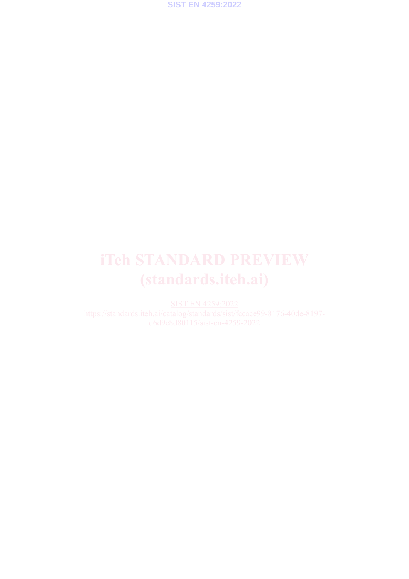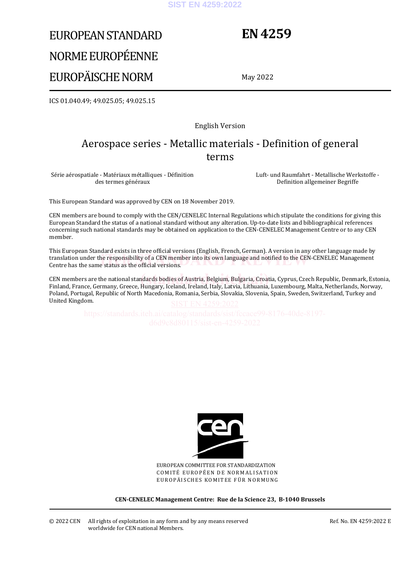### **SIST EN 4259:2022**

# EUROPEAN STANDARD NORME EUROPÉENNE EUROPÄISCHE NORM

# **EN 4259**

May 2022

ICS 01.040.49; 49.025.05; 49.025.15

English Version

## Aerospace series - Metallic materials - Definition of general terms

Série aérospatiale - Matériaux métalliques - Définition des termes généraux

 Luft- und Raumfahrt - Metallische Werkstoffe - Definition allgemeiner Begriffe

This European Standard was approved by CEN on 18 November 2019.

CEN members are bound to comply with the CEN/CENELEC Internal Regulations which stipulate the conditions for giving this European Standard the status of a national standard without any alteration. Up-to-date lists and bibliographical references concerning such national standards may be obtained on application to the CEN-CENELEC Management Centre or to any CEN member.

This European Standard exists in three official versions (English, French, German). A version in any other language made by translation under the responsibility of a CEN member into its own language and notified to the CEN-CENELEC Management Centre has the same status as the official versions. Centre has the same status as the official versions.

CEN members are the national standards bodies of Austria, Belgium, Bulgaria, Croatia, Cyprus, Czech Republic, Denmark, Estonia,<br>Finland, France, Germany, Greece, Hungary, Iceland, Ireland, Italy, Latvia, Lithuania, Luxembo Finland, France, Germany, Greece, Hungary, Iceland, Ireland, Italy, Latvia, Lithuania, Luxembourg, Malta, Netherlands, Norway, Poland, Portugal, Republic of North Macedonia, Romania, Serbia, Slovakia, Slovenia, Spain, Sweden, Switzerland, Turkey and United Kingdom.



EUROPEAN COMMITTEE FOR STANDARDIZATION COMITÉ EUROPÉEN DE NORMALISATION EUROPÄISCHES KOMITEE FÜR NORMUNG

**CEN-CENELEC Management Centre: Rue de la Science 23, B-1040 Brussels**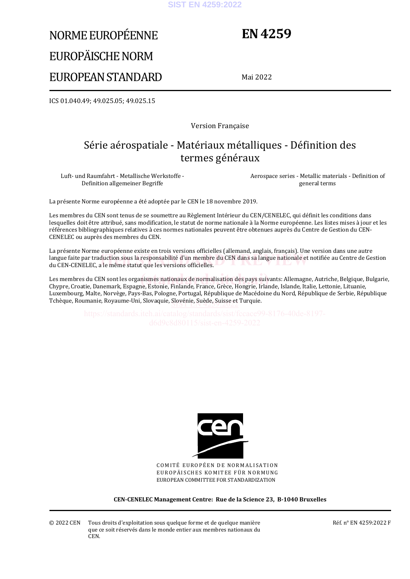### **SIST EN 4259:2022**

# NORME EUROPÉENNE EUROPÄISCHE NORM EUROPEAN STANDARD

# **EN 4259**

Mai 2022

ICS 01.040.49; 49.025.05; 49.025.15

Version Française

# Série aérospatiale - Matériaux métalliques - Définition des termes généraux

Luft- und Raumfahrt - Metallische Werkstoffe - Definition allgemeiner Begriffe

 Aerospace series - Metallic materials - Definition of general terms

La présente Norme européenne a été adoptée par le CEN le 18 novembre 2019.

Les membres du CEN sont tenus de se soumettre au Règlement Intérieur du CEN/CENELEC, qui définit les conditions dans lesquelles doit être attribué, sans modification, le statut de norme nationale à la Norme européenne. Les listes mises à jour et les références bibliographiques relatives à ces normes nationales peuvent être obtenues auprès du Centre de Gestion du CEN-CENELEC ou auprès des membres du CEN.

La présente Norme européenne existe en trois versions officielles (allemand, anglais, français). Une version dans une autre Langue faite par traduction sous la responsabilité d'un membre du CEN dans sa langue nationale et notifiée au Centre de Gestion<br>du CEN-CENELEC, a le même statut que les versions officielles. du CEN-CENELEC, a le même statut que les versions officielles.

Les membres du CEN sont les organismes nationaux de normalisation des pays suivants: Allemagne, Autriche, Belgique, Bulgarie,<br>Chypre, Croatie, Danemark, Espagne, Estonie, Finlande, France, Grèce, Hongrie, Irlande, Islande, Chypre, Croatie, Danemark, Espagne, Estonie, Finlande, France, Grèce, Hongrie, Irlande, Islande, Italie, Lettonie, Lituanie, Luxembourg, Malte, Norvège, Pays-Bas, Pologne, Portugal, République de Macédoine du Nord, République de Serbie, République Tchèque, Roumanie, Royaume-Uni, Slovaquie, Slovénie, Suède, Suisse et Turquie.<br>.



COMITÉ EUROPÉEN DE NORMALISATION EUROPÄISCHES KOMITEE FÜR NORMUNG EUROPEAN COMMITTEE FOR STANDARDIZATION

**CEN-CENELEC Management Centre: Rue de la Science 23, B-1040 Bruxelles** 

© 2022 CEN Tous droits d'exploitation sous quelque forme et de quelque manière que ce soit réservés dans le monde entier aux membres nationaux du CEN.

Réf. n° EN 4259:2022 F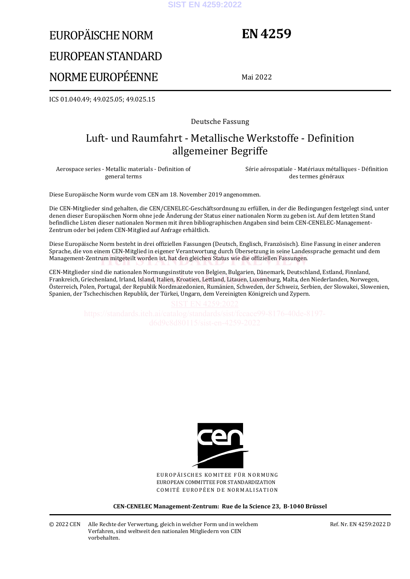### **SIST EN 4259:2022**

# EUROPÄISCHE NORM EUROPEAN STANDARD NORME EUROPÉENNE

# **EN 4259**

Mai 2022

ICS 01.040.49; 49.025.05; 49.025.15

Deutsche Fassung

## Luft- und Raumfahrt - Metallische Werkstoffe - Definition allgemeiner Begriffe

Aerospace series - Metallic materials - Definition of general terms

 Série aérospatiale - Matériaux métalliques - Définition des termes généraux

Diese Europäische Norm wurde vom CEN am 18. November 2019 angenommen.

Die CEN-Mitglieder sind gehalten, die CEN/CENELEC-Geschäftsordnung zu erfüllen, in der die Bedingungen festgelegt sind, unter denen dieser Europäischen Norm ohne jede Änderung der Status einer nationalen Norm zu geben ist. Auf dem letzten Stand befindliche Listen dieser nationalen Normen mit ihren bibliographischen Angaben sind beim CEN-CENELEC-Management-Zentrum oder bei jedem CEN-Mitglied auf Anfrage erhältlich.

Diese Europäische Norm besteht in drei offiziellen Fassungen (Deutsch, Englisch, Französisch). Eine Fassung in einer anderen Sprache, die von einem CEN-Mitglied in eigener Verantwortung durch Übersetzung in seine Landessprache gemacht und dem Management-Zentrum mitgeteilt worden ist, hat den gleichen Status wie die offiziellen Fassungen.

CEN-Mitglieder sind die nationalen Normungsinstitute von Belgien, Bulgarien, Dänemark, Deutschland, Estland, Finnland, CEN-Mitglieder sind die nationalen Normungsinstitute von Belgien, Bulgarien, Danemark, Deutschland, Estland, Finnland,<br>Frankreich, Griechenland, Irland, Island, Italien, Kroatien, Lettland, Litauen, Luxemburg, Malta, den N Österreich, Polen, Portugal, der Republik Nordmazedonien, Rumänien, Schweden, der Schweiz, Serbien, der Slowakei, Slowenien, Spanien, der Tschechischen Republik, der Türkei, Ungarn, dem Vereinigten Königreich und Zypern.



EUROPÄISCHES KOMITEE FÜR NORMUNG EUROPEAN COMMITTEE FOR STANDARDIZATION COMITÉ EUROPÉEN DE NORMALISATION

**CEN-CENELEC Management-Zentrum: Rue de la Science 23, B-1040 Brüssel** 

© 2022 CEN Alle Rechte der Verwertung, gleich in welcher Form und in welchem Verfahren, sind weltweit den nationalen Mitgliedern von CEN vorbehalten.

Ref. Nr. EN 4259:2022 D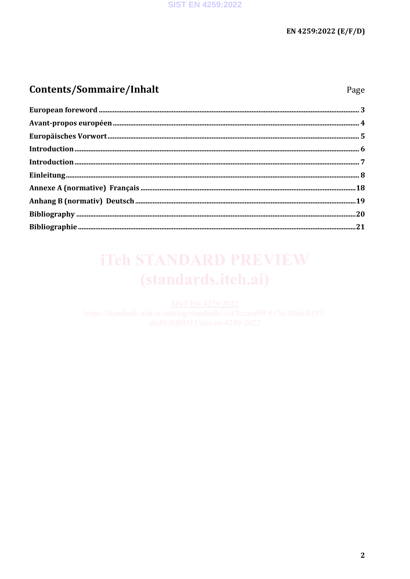### EN 4259:2022 (E/F/D)

# Contents/Sommaire/Inhalt

Page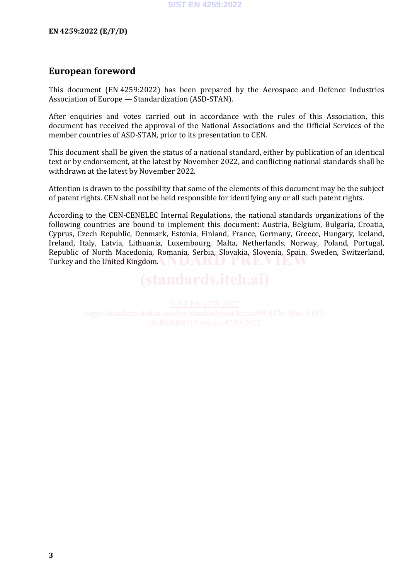### **European foreword**

This document (EN 4259:2022) has been prepared by the Aerospace and Defence Industries Association of Europe — Standardization (ASD-STAN).

After enquiries and votes carried out in accordance with the rules of this Association, this document has received the approval of the National Associations and the Official Services of the member countries of ASD-STAN, prior to its presentation to CEN.

This document shall be given the status of a national standard, either by publication of an identical text or by endorsement, at the latest by November 2022, and conflicting national standards shall be withdrawn at the latest by November 2022.

Attention is drawn to the possibility that some of the elements of this document may be the subject of patent rights. CEN shall not be held responsible for identifying any or all such patent rights.

According to the CEN-CENELEC Internal Regulations, the national standards organizations of the following countries are bound to implement this document: Austria, Belgium, Bulgaria, Croatia, Cyprus, Czech Republic, Denmark, Estonia, Finland, France, Germany, Greece, Hungary, Iceland, Ireland, Italy, Latvia, Lithuania, Luxembourg, Malta, Netherlands, Norway, Poland, Portugal, Republic of North Macedonia, Romania, Serbia, Slovakia, Slovenia, Spain, Sweden, Switzerland, Republic of North Macedonia, Romania, Serbia, Slovakia, Slovenia, Spain, S<br>Turkey and the United Kingdom.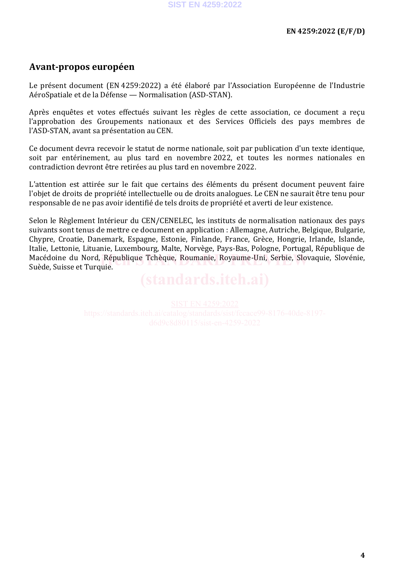### **Avant-propos européen**

Le présent document (EN 4259:2022) a été élaboré par l'Association Européenne de l'Industrie AéroSpatiale et de la Défense — Normalisation (ASD-STAN).

Après enquêtes et votes effectués suivant les règles de cette association, ce document a reçu l'approbation des Groupements nationaux et des Services Officiels des pays membres de l'ASD-STAN, avant sa présentation au CEN.

Ce document devra recevoir le statut de norme nationale, soit par publication d'un texte identique, soit par entérinement, au plus tard en novembre 2022, et toutes les normes nationales en contradiction devront être retirées au plus tard en novembre 2022.

L'attention est attirée sur le fait que certains des éléments du présent document peuvent faire l'objet de droits de propriété intellectuelle ou de droits analogues. Le CEN ne saurait être tenu pour responsable de ne pas avoir identifié de tels droits de propriété et averti de leur existence.

Selon le Règlement Intérieur du CEN/CENELEC, les instituts de normalisation nationaux des pays suivants sont tenus de mettre ce document en application : Allemagne, Autriche, Belgique, Bulgarie, Chypre, Croatie, Danemark, Espagne, Estonie, Finlande, France, Grèce, Hongrie, Irlande, Islande, Italie, Lettonie, Lituanie, Luxembourg, Malte, Norvège, Pays-Bas, Pologne, Portugal, République de Macédoine du Nord, République Tchèque, Roumanie, Royaume-Uni, Serbie, Slovaquie, Slovénie,<br>Suède Suisse et Turquie Suède, Suisse et Turquie.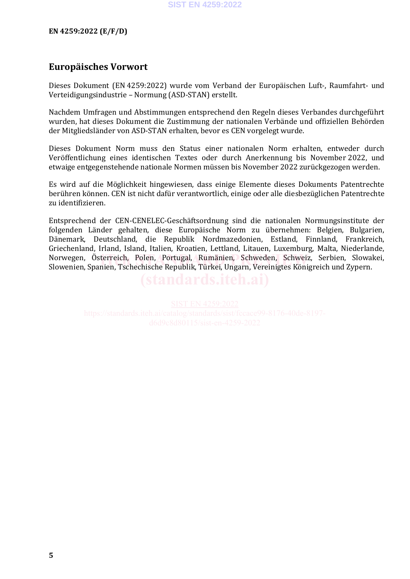### **Europäisches Vorwort**

Dieses Dokument (EN 4259:2022) wurde vom Verband der Europäischen Luft-, Raumfahrt- und Verteidigungsindustrie – Normung (ASD-STAN) erstellt.

Nachdem Umfragen und Abstimmungen entsprechend den Regeln dieses Verbandes durchgeführt wurden, hat dieses Dokument die Zustimmung der nationalen Verbände und offiziellen Behörden der Mitgliedsländer von ASD-STAN erhalten, bevor es CEN vorgelegt wurde.

Dieses Dokument Norm muss den Status einer nationalen Norm erhalten, entweder durch Veröffentlichung eines identischen Textes oder durch Anerkennung bis November 2022, und etwaige entgegenstehende nationale Normen müssen bis November 2022 zurückgezogen werden.

Es wird auf die Möglichkeit hingewiesen, dass einige Elemente dieses Dokuments Patentrechte berühren können. CEN ist nicht dafür verantwortlich, einige oder alle diesbezüglichen Patentrechte zu identifizieren.

Entsprechend der CEN-CENELEC-Geschäftsordnung sind die nationalen Normungsinstitute der folgenden Länder gehalten, diese Europäische Norm zu übernehmen: Belgien, Bulgarien, Dänemark, Deutschland, die Republik Nordmazedonien, Estland, Finnland, Frankreich, Griechenland, Irland, Island, Italien, Kroatien, Lettland, Litauen, Luxemburg, Malta, Niederlande, Norwegen, Österreich, Polen, Portugal, Rumänien, Schweden, Schweiz, Serbien, Slowakei,<br>Slowenien Spanien Tschechische-Republik Türkei Ungarn Vereinigtes-Königreich und Zynern Slowenien, Spanien, Tschechische Republik, Türkei, Ungarn, Vereinigtes Königreich und Zypern.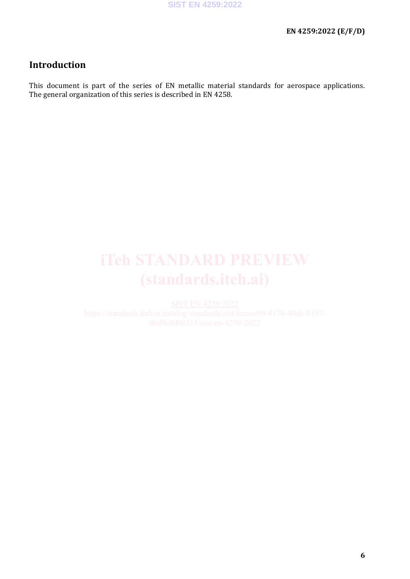### **Introduction**

This document is part of the series of EN metallic material standards for aerospace applications. The general organization of this series is described in EN 4258.